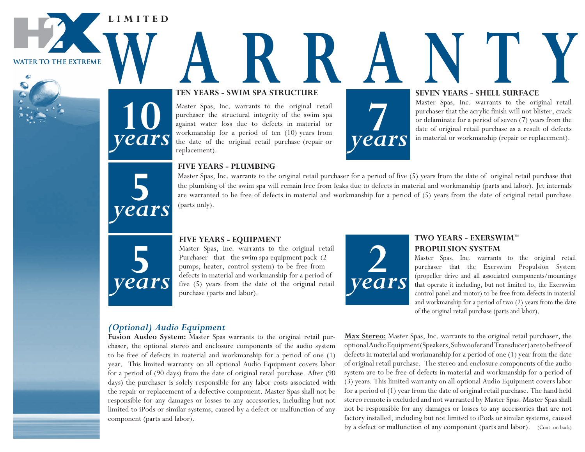**L I M I T E D**

**WATER TO THE EXTREME** 

# TEN YEARS - SWIM SPA STRUCTURE SEVEN YEARS - SHELL SURFACE **Ten Years - SWIM Spa Structure**

Master Spas, Inc. warrants to the original retail purchaser the structural integrity of the swim spa against water loss due to defects in material or workmanship for a period of ten (10) years from the date of the original retail purchase (repair or replacement).



#### **SEVEN YEARS - SHELL  SURFACE**

Master Spas, Inc. warrants to the original retail purchaser that the acrylic finish will not blister, crack or delaminate for a period of seven (7) years from the date of original retail purchase as a result of defects **7** in material or workmanship (repair or replacement).



**5**

*years*

**10**

*years*

#### **FIVE YEARs - pLuMBING**

Master Spas, Inc. warrants to the original retail purchaser for a period of five (5) years from the date of original retail purchase that the plumbing of the swim spa will remain free from leaks due to defects in material and workmanship (parts and labor). Jet internals are warranted to be free of defects in material and workmanship for a period of (5) years from the date of original retail purchase (parts only).



Master Spas, Inc. warrants to the original retail Purchaser that the swim spa equipment pack (2 pumps, heater, control system) to be free from defects in material and workmanship for a period of five (5) years from the date of the original retail purchase (parts and labor).



## **TWO YEARs - EXERsWIM™ pROpuLsION sYsTEM**

Master Spas, Inc. warrants to the original retail purchaser that the Exerswim Propulsion System (propeller drive and all associated components/mountings that operate it including, but not limited to, the Exerswim control panel and motor) to be free from defects in material and workmanship for a period of two (2) years from the date of the original retail purchase (parts and labor).

# *(Optional) Audio Equipment*

**Fusion Audeo System:** Master Spas warrants to the original retail purchaser, the optional stereo and enclosure components of the audio system to be free of defects in material and workmanship for a period of one (1) year. This limited warranty on all optional Audio Equipment covers labor for a period of (90 days) from the date of original retail purchase. After (90 days) the purchaser is solely responsible for any labor costs associated with the repair or replacement of a defective component. Master Spas shall not be responsible for any damages or losses to any accessories, including but not limited to iPods or similar systems, caused by a defect or malfunction of any component (parts and labor).

**Max Stereo:** Master Spas, Inc. warrants to the original retail purchaser, the optional Audio Equipment (Speakers, Subwoofer and Transducer) are to be free of defects in material and workmanship for a period of one (1) year from the date of original retail purchase. The stereo and enclosure components of the audio system are to be free of defects in material and workmanship for a period of (3) years. This limited warranty on all optional Audio Equipment covers labor for a period of (1) year from the date of original retail purchase. The hand held stereo remote is excluded and not warranted by Master Spas. Master Spas shall not be responsible for any damages or losses to any accessories that are not factory installed, including but not limited to iPods or similar systems, caused by a defect or malfunction of any component (parts and labor). (Cont. on back)